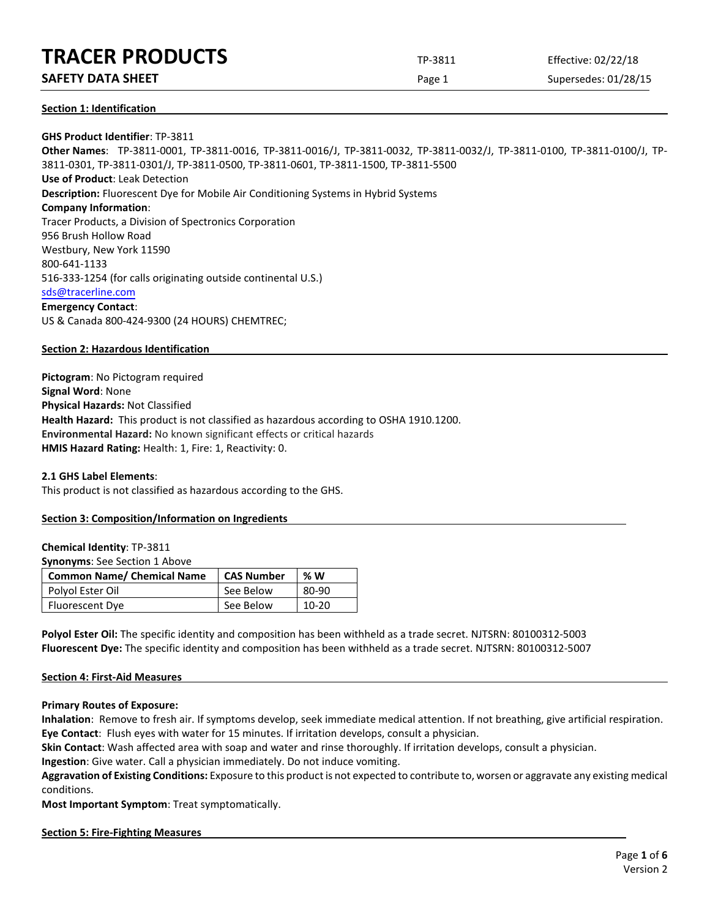**SAFETY DATA SHEET** SUPERFOUR CONSUMING THE Page 1 Supersedes: 01/28/15

**Section 1: Identification**

# **GHS Product Identifier**: TP-3811

**Other Names**: TP-3811-0001, TP-3811-0016, TP-3811-0016/J, TP-3811-0032, TP-3811-0032/J, TP-3811-0100, TP-3811-0100/J, TP-3811-0301, TP-3811-0301/J, TP-3811-0500, TP-3811-0601, TP-3811-1500, TP-3811-5500 **Use of Product**: Leak Detection **Description:** Fluorescent Dye for Mobile Air Conditioning Systems in Hybrid Systems **Company Information**: Tracer Products, a Division of Spectronics Corporation 956 Brush Hollow Road Westbury, New York 11590 800-641-1133 516-333-1254 (for calls originating outside continental U.S.) [sds@tracerline.com](mailto:sds@tracerline.com) **Emergency Contact**: US & Canada 800-424-9300 (24 HOURS) CHEMTREC;

# **Section 2: Hazardous Identification**

**Pictogram**: No Pictogram required **Signal Word**: None **Physical Hazards:** Not Classified **Health Hazard:** This product is not classified as hazardous according to OSHA 1910.1200. **Environmental Hazard:** No known significant effects or critical hazards **HMIS Hazard Rating:** Health: 1, Fire: 1, Reactivity: 0.

**2.1 GHS Label Elements**:

This product is not classified as hazardous according to the GHS.

# **Section 3: Composition/Information on Ingredients**

**Chemical Identity**: TP-3811

**Synonyms**: See Section 1 Above

| <b>Common Name/ Chemical Name</b> | <b>CAS Number</b> | %W    |
|-----------------------------------|-------------------|-------|
| Polyol Ester Oil                  | See Below         | 80-90 |
| <b>Fluorescent Dye</b>            | See Below         | 10-20 |

**Polyol Ester Oil:** The specific identity and composition has been withheld as a trade secret. NJTSRN: 80100312-5003 **Fluorescent Dye:** The specific identity and composition has been withheld as a trade secret. NJTSRN: 80100312-5007

### **Section 4: First-Aid Measures**

**Primary Routes of Exposure:**

**Inhalation**: Remove to fresh air. If symptoms develop, seek immediate medical attention. If not breathing, give artificial respiration. **Eye Contact**: Flush eyes with water for 15 minutes. If irritation develops, consult a physician.

**Skin Contact**: Wash affected area with soap and water and rinse thoroughly. If irritation develops, consult a physician.

**Ingestion**: Give water. Call a physician immediately. Do not induce vomiting.

**Aggravation of Existing Conditions:** Exposure to this product is not expected to contribute to, worsen or aggravate any existing medical conditions.

**Most Important Symptom**: Treat symptomatically.

### **Section 5: Fire-Fighting Measures**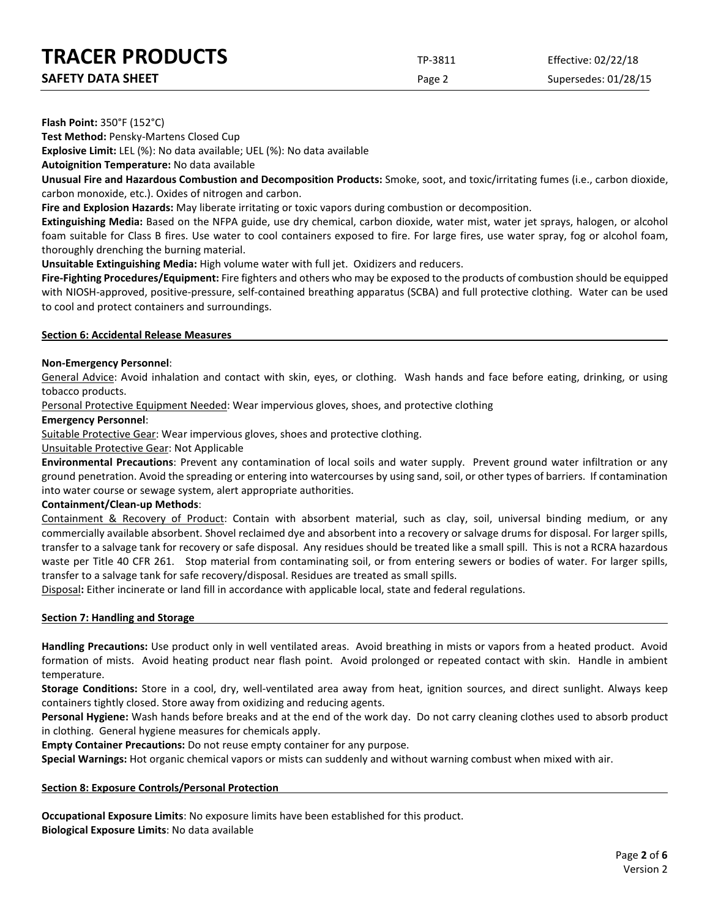| <b>SAFETY DATA SHEET</b> |  |
|--------------------------|--|
|                          |  |

Page 2 Supersedes: 01/28/15

**Flash Point:** 350°F (152°C)

**Test Method:** Pensky-Martens Closed Cup

**Explosive Limit:** LEL (%): No data available; UEL (%): No data available

**Autoignition Temperature:** No data available

**Unusual Fire and Hazardous Combustion and Decomposition Products:** Smoke, soot, and toxic/irritating fumes (i.e., carbon dioxide, carbon monoxide, etc.). Oxides of nitrogen and carbon.

**Fire and Explosion Hazards:** May liberate irritating or toxic vapors during combustion or decomposition.

**Extinguishing Media:** Based on the NFPA guide, use dry chemical, carbon dioxide, water mist, water jet sprays, halogen, or alcohol foam suitable for Class B fires. Use water to cool containers exposed to fire. For large fires, use water spray, fog or alcohol foam, thoroughly drenching the burning material.

**Unsuitable Extinguishing Media:** High volume water with full jet. Oxidizers and reducers.

**Fire-Fighting Procedures/Equipment:** Fire fighters and others who may be exposed to the products of combustion should be equipped with NIOSH-approved, positive-pressure, self-contained breathing apparatus (SCBA) and full protective clothing. Water can be used to cool and protect containers and surroundings.

# **Section 6: Accidental Release Measures**

# **Non-Emergency Personnel**:

General Advice: Avoid inhalation and contact with skin, eyes, or clothing. Wash hands and face before eating, drinking, or using tobacco products.

Personal Protective Equipment Needed: Wear impervious gloves, shoes, and protective clothing

# **Emergency Personnel**:

Suitable Protective Gear: Wear impervious gloves, shoes and protective clothing.

# Unsuitable Protective Gear: Not Applicable

**Environmental Precautions**: Prevent any contamination of local soils and water supply. Prevent ground water infiltration or any ground penetration. Avoid the spreading or entering into watercourses by using sand, soil, or other types of barriers. If contamination into water course or sewage system, alert appropriate authorities.

# **Containment/Clean-up Methods**:

Containment & Recovery of Product: Contain with absorbent material, such as clay, soil, universal binding medium, or any commercially available absorbent. Shovel reclaimed dye and absorbent into a recovery or salvage drums for disposal. For larger spills, transfer to a salvage tank for recovery or safe disposal. Any residues should be treated like a small spill. This is not a RCRA hazardous waste per Title 40 CFR 261. Stop material from contaminating soil, or from entering sewers or bodies of water. For larger spills, transfer to a salvage tank for safe recovery/disposal. Residues are treated as small spills.

Disposal**:** Either incinerate or land fill in accordance with applicable local, state and federal regulations.

### **Section 7: Handling and Storage**

**Handling Precautions:** Use product only in well ventilated areas. Avoid breathing in mists or vapors from a heated product. Avoid formation of mists. Avoid heating product near flash point. Avoid prolonged or repeated contact with skin. Handle in ambient temperature.

**Storage Conditions:** Store in a cool, dry, well-ventilated area away from heat, ignition sources, and direct sunlight. Always keep containers tightly closed. Store away from oxidizing and reducing agents.

**Personal Hygiene:** Wash hands before breaks and at the end of the work day. Do not carry cleaning clothes used to absorb product in clothing. General hygiene measures for chemicals apply.

**Empty Container Precautions:** Do not reuse empty container for any purpose.

**Special Warnings:** Hot organic chemical vapors or mists can suddenly and without warning combust when mixed with air.

# **Section 8: Exposure Controls/Personal Protection**

**Occupational Exposure Limits**: No exposure limits have been established for this product. **Biological Exposure Limits**: No data available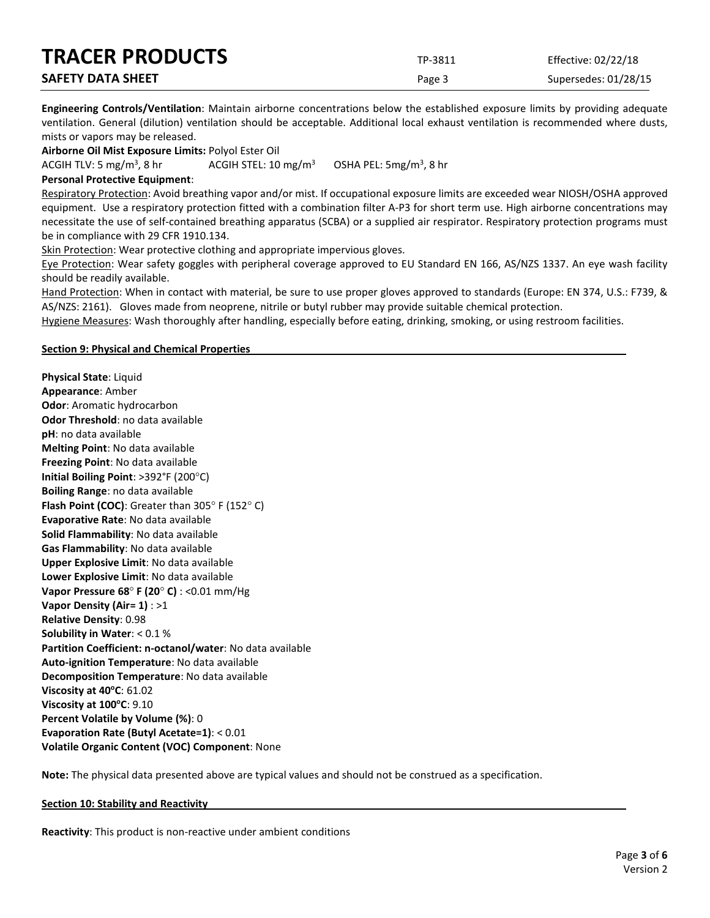| <b>TRACER PRODUCTS</b>   | TP-3811 | Effective: 02/22/18  |
|--------------------------|---------|----------------------|
| <b>SAFETY DATA SHEET</b> | Page 3  | Supersedes: 01/28/15 |

**Engineering Controls/Ventilation**: Maintain airborne concentrations below the established exposure limits by providing adequate ventilation. General (dilution) ventilation should be acceptable. Additional local exhaust ventilation is recommended where dusts, mists or vapors may be released.

**Airborne Oil Mist Exposure Limits:** Polyol Ester Oil

ACGIH TLV: 5 mg/m<sup>3</sup>, 8 hr ACGIH STEL:  $10 \text{ mg/m}^3$ OSHA PEL:  $5mg/m<sup>3</sup>$ , 8 hr

## **Personal Protective Equipment**:

Respiratory Protection: Avoid breathing vapor and/or mist. If occupational exposure limits are exceeded wear NIOSH/OSHA approved equipment. Use a respiratory protection fitted with a combination filter A-P3 for short term use. High airborne concentrations may necessitate the use of self-contained breathing apparatus (SCBA) or a supplied air respirator. Respiratory protection programs must be in compliance with 29 CFR 1910.134.

Skin Protection: Wear protective clothing and appropriate impervious gloves.

Eye Protection: Wear safety goggles with peripheral coverage approved to EU Standard EN 166, AS/NZS 1337. An eye wash facility should be readily available.

Hand Protection: When in contact with material, be sure to use proper gloves approved to standards (Europe: EN 374, U.S.: F739, & AS/NZS: 2161). Gloves made from neoprene, nitrile or butyl rubber may provide suitable chemical protection.

Hygiene Measures: Wash thoroughly after handling, especially before eating, drinking, smoking, or using restroom facilities.

### **Section 9: Physical and Chemical Properties**

**Physical State**: Liquid **Appearance**: Amber **Odor**: Aromatic hydrocarbon **Odor Threshold**: no data available **pH**: no data available **Melting Point**: No data available **Freezing Point**: No data available **Initial Boiling Point**: >392°F (200°C) **Boiling Range**: no data available **Flash Point (COC)**: Greater than 305° F (152° C) **Evaporative Rate**: No data available **Solid Flammability**: No data available **Gas Flammability**: No data available **Upper Explosive Limit**: No data available **Lower Explosive Limit**: No data available **Vapor Pressure 68**° **F (20**° **C)** : <0.01 mm/Hg **Vapor Density (Air= 1)** : >1 **Relative Density**: 0.98 **Solubility in Water**: < 0.1 % **Partition Coefficient: n-octanol/water**: No data available **Auto-ignition Temperature**: No data available **Decomposition Temperature**: No data available **Viscosity at 40°C**: 61.02 **Viscosity at 100°C: 9.10 Percent Volatile by Volume (%)**: 0 **Evaporation Rate (Butyl Acetate=1)**: < 0.01 **Volatile Organic Content (VOC) Component**: None

**Note:** The physical data presented above are typical values and should not be construed as a specification.

### **Section 10: Stability and Reactivity**

**Reactivity**: This product is non-reactive under ambient conditions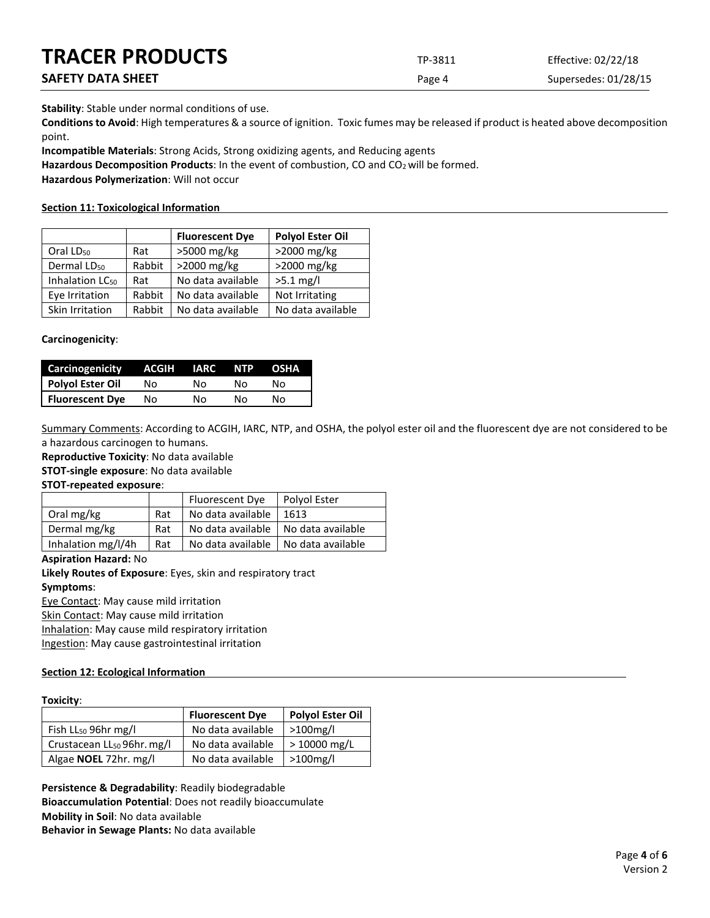| <b>TRACER PRODUCTS</b> | TP-3811 | Effective: 02/22/18  |
|------------------------|---------|----------------------|
| SAFETY DATA SHEET      | Page 4  | Supersedes: 01/28/15 |

**Stability**: Stable under normal conditions of use.

**Conditions to Avoid**: High temperatures & a source of ignition. Toxic fumes may be released if product is heated above decomposition point.

**Incompatible Materials**: Strong Acids, Strong oxidizing agents, and Reducing agents

Hazardous Decomposition Products: In the event of combustion, CO and CO<sub>2</sub> will be formed.

**Hazardous Polymerization**: Will not occur

# **Section 11: Toxicological Information**

|                             |        | <b>Fluorescent Dye</b> | <b>Polyol Ester Oil</b> |
|-----------------------------|--------|------------------------|-------------------------|
| Oral LD <sub>50</sub>       | Rat    | >5000 mg/kg            | >2000 mg/kg             |
| Dermal LD <sub>50</sub>     | Rabbit | >2000 mg/kg            | >2000 mg/kg             |
| Inhalation LC <sub>50</sub> | Rat    | No data available      | $>5.1$ mg/l             |
| Eye Irritation              | Rabbit | No data available      | Not Irritating          |
| Skin Irritation             | Rabbit | No data available      | No data available       |

# **Carcinogenicity**:

| Carcinogenicity        | ACGIH | IARC | NTP. | OSHA |
|------------------------|-------|------|------|------|
| Polyol Ester Oil       | Nο    | N٥   | N٥   | N٥   |
| <b>Fluorescent Dye</b> | Nο    | N٥   | N٥   | N٥   |

Summary Comments: According to ACGIH, IARC, NTP, and OSHA, the polyol ester oil and the fluorescent dye are not considered to be a hazardous carcinogen to humans.

**Reproductive Toxicity**: No data available

**STOT-single exposure**: No data available

**STOT-repeated exposure**:

|                    |     | Fluorescent Dye   | Polyol Ester      |
|--------------------|-----|-------------------|-------------------|
| Oral mg/kg         | Rat | No data available | 1613              |
| Dermal mg/kg       | Rat | No data available | No data available |
| Inhalation mg/l/4h | Rat | No data available | No data available |

# **Aspiration Hazard:** No

**Likely Routes of Exposure**: Eyes, skin and respiratory tract

# **Symptoms**:

Eye Contact: May cause mild irritation

Skin Contact: May cause mild irritation

Inhalation: May cause mild respiratory irritation

Ingestion: May cause gastrointestinal irritation

# **Section 12: Ecological Information**

# **Toxicity**:

|                                        | <b>Fluorescent Dye</b> | <b>Polyol Ester Oil</b> |
|----------------------------------------|------------------------|-------------------------|
| Fish $LL_{50}$ 96hr mg/l               | No data available      | $>100$ mg/l             |
| Crustacean LL <sub>50</sub> 96hr. mg/l | No data available      | > 10000 mg/L            |
| Algae NOEL 72hr. mg/l                  | No data available      | >100mg/l                |

**Persistence & Degradability**: Readily biodegradable **Bioaccumulation Potential**: Does not readily bioaccumulate **Mobility in Soil**: No data available **Behavior in Sewage Plants:** No data available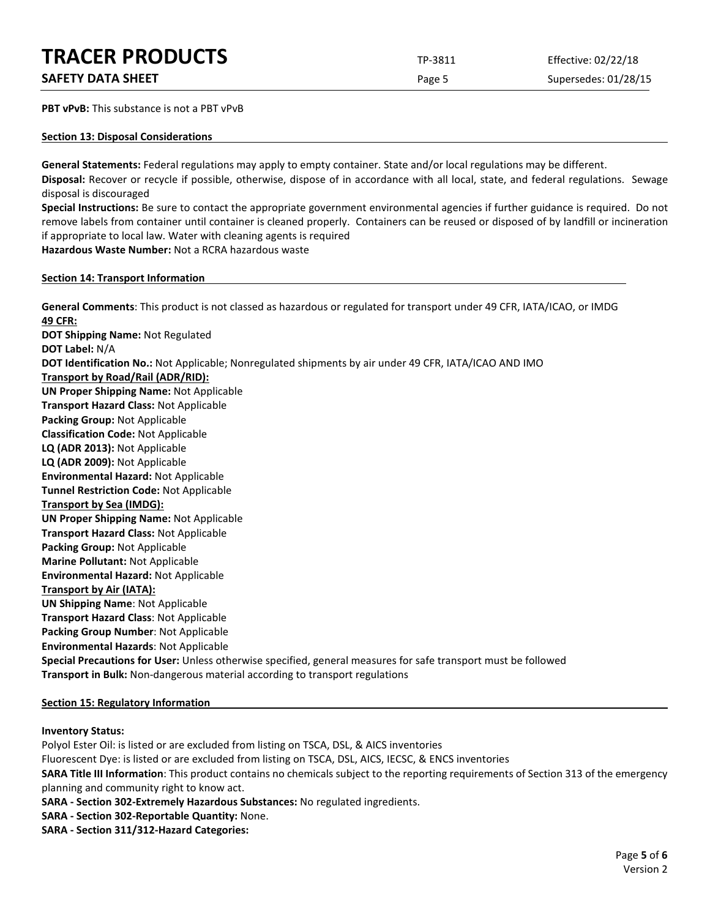**PBT vPvB:** This substance is not a PBT vPvB

# **Section 13: Disposal Considerations**

**General Statements:** Federal regulations may apply to empty container. State and/or local regulations may be different.

**Disposal:** Recover or recycle if possible, otherwise, dispose of in accordance with all local, state, and federal regulations. Sewage disposal is discouraged

**Special Instructions:** Be sure to contact the appropriate government environmental agencies if further guidance is required. Do not remove labels from container until container is cleaned properly. Containers can be reused or disposed of by landfill or incineration if appropriate to local law. Water with cleaning agents is required

**Hazardous Waste Number:** Not a RCRA hazardous waste

# **Section 14: Transport Information**

**General Comments**: This product is not classed as hazardous or regulated for transport under 49 CFR, IATA/ICAO, or IMDG **49 CFR: DOT Shipping Name:** Not Regulated **DOT Label:** N/A **DOT Identification No.:** Not Applicable; Nonregulated shipments by air under 49 CFR, IATA/ICAO AND IMO **Transport by Road/Rail (ADR/RID): UN Proper Shipping Name:** Not Applicable **Transport Hazard Class:** Not Applicable **Packing Group:** Not Applicable **Classification Code:** Not Applicable

**LQ (ADR 2013):** Not Applicable

**LQ (ADR 2009):** Not Applicable

**Environmental Hazard:** Not Applicable **Tunnel Restriction Code:** Not Applicable

**Transport by Sea (IMDG):** 

**UN Proper Shipping Name:** Not Applicable

**Transport Hazard Class:** Not Applicable

**Packing Group:** Not Applicable

**Marine Pollutant:** Not Applicable

**Environmental Hazard:** Not Applicable

# **Transport by Air (IATA):**

**UN Shipping Name**: Not Applicable

**Transport Hazard Class**: Not Applicable

**Packing Group Number**: Not Applicable

**Environmental Hazards**: Not Applicable

**Special Precautions for User:** Unless otherwise specified, general measures for safe transport must be followed **Transport in Bulk:** Non-dangerous material according to transport regulations

# **Section 15: Regulatory Information**

# **Inventory Status:**

Polyol Ester Oil: is listed or are excluded from listing on TSCA, DSL, & AICS inventories Fluorescent Dye: is listed or are excluded from listing on TSCA, DSL, AICS, IECSC, & ENCS inventories **SARA Title III Information**: This product contains no chemicals subject to the reporting requirements of Section 313 of the emergency planning and community right to know act.

**SARA - Section 302-Extremely Hazardous Substances:** No regulated ingredients.

- **SARA Section 302-Reportable Quantity:** None.
- **SARA Section 311/312-Hazard Categories:**

**SAFETY DATA SHEET** SUPERFOUR SAFET ASSESSED A REPORT OF SUPERFOURITY DATA SUPERFOURITY OF SUPERFOURITY OF SUPERFOURITY OF SUPERFOURITY OF SUPERFOURITY OF SUPERFOURITY OF SUPERFOURITY OF SUPERFOURITY OF SUPERFOURITY OF SUP